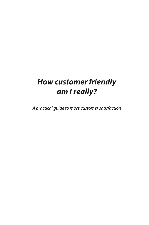# **How customer friendly am I really?**

A practical guide to more customer satisfaction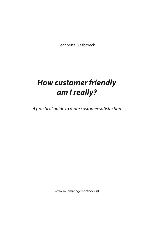Jeannette Biesbroeck

# **How customer friendly am I really?**

A practical guide to more customer satisfaction

www.mijnmanagementboek.nl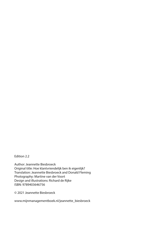Edition 2.2

Author: Jeannette Biesbroeck Original title: Hoe klantvriendelijk ben ik eigenlijk? Translation: Jeannette Biesbroeck and Donald Fleming Photography: Martine van der Voort Design and illustrations: Richard de Rijke ISBN: 9789403646756

© 2021 Jeannette Biesbroeck

www.mijnmanagementboek.nl/jeannette\_biesbroeck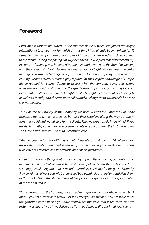### **Foreword**

I first met Jeannette Biesbroeck in the summer of 1985, when she joined the major international tour operator for which at that time I had already been working for 12 years. I was in the operations office in awe of those out on the road with direct contact to the clients. During the passage of 46 years, I became vice president of that company, in charge of training and looking after the men and women on the front line dealing with the company's clients. Jeannette joined a team of highly reputed tour and cruise managers looking after large groups of clients touring Europe by motorcoach or cruising Europe's rivers. A team highly reputed for their expert knowledge of Europe, highly reputed for caring. Caring to deliver what the company advertised, caring to deliver the holiday of a lifetime the guests were hoping for, and caring for each individual's wellbeing. Jeannette fit right in - she brought all these qualities to her job, as well as a friendly and cheerful personality, and a willingness to always help however she was needed.

This was the philosophy of the Company we both worked for - and the Company respected not only their associates, but also their suppliers along the way, so that in turn they could and would care for the clients. The two are strongly intertwined. If you are dealing with people, wherever you are, whatever your position, the first rule is listen. The second rule is watch. The third is communicate.

Whether you are touring with a group of 40 people, or sailing with 160, whether you are greeting a hotel guest or selling an item, in order to make your clients' dreams come true, you need to listen and understand his or her expectations.

Often it is the small things that make the big impact. Remembering a guest's name, or some small incident of which he or she has spoken. Going that extra mile for a seemingly small thing that makes an unforgettable experience for the guest. Empathy. A smile. Almost always you will be rewarded by a genuinely grateful and satisfied client. In this book, Jeannette shares many of her personal experiences and explains what made the difference.

Those who work on the frontline, have an advantage over all those who work in a back office - you get instant gratification for the effort you are making. You are there to see the gratitude of the person you have helped, see the smile that is returned. You can instantly evaluate if you have delivered a 'job well done', or disappointed your client.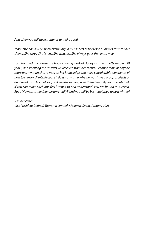And often you still have a chance to make good.

Jeannette has always been exemplary in all aspects of her responsibilities towards her clients. She cares. She listens. She watches. She always goes that extra mile.

I am honored to endorse this book - having worked closely with Jeannette for over 30 years, and knowing the reviews we received from her clients, I cannot think of anyone more worthy than she, to pass on her knowledge and most considerable experience of how to care for clients. Because it does not matter whether you have a group of clients or an individual in front of you, or if you are dealing with them remotely over the internet. If you can make each one feel listened to and understood, you are bound to succeed. Read 'How customer friendly am I really?' and you will be best-equipped to be a winner!

Sabine Steffen Vice President (retired) Tourama Limited. Mallorca, Spain. January 2021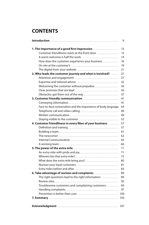## **CONTENTS**

|                                                               | 9  |
|---------------------------------------------------------------|----|
| 1. The importance of a good first impression                  | 13 |
| Customer friendliness starts at the front door                | 13 |
|                                                               | 14 |
| How does the customer experience your business                | 16 |
|                                                               | 19 |
|                                                               | 21 |
| 2. Who leads the customer journey and what is involved?       | 27 |
|                                                               | 27 |
|                                                               | 32 |
|                                                               | 34 |
|                                                               | 36 |
|                                                               | 37 |
|                                                               | 41 |
|                                                               | 41 |
| Face-to-face conversation and the importance of body language | 44 |
|                                                               | 46 |
|                                                               | 49 |
|                                                               | 52 |
| 4. Customer friendliness in every fiber of your business      | 57 |
|                                                               | 57 |
|                                                               | 61 |
|                                                               | 62 |
|                                                               | 63 |
|                                                               | 66 |
|                                                               | 71 |
|                                                               | 71 |
|                                                               | 72 |
|                                                               | 80 |
|                                                               | 81 |
|                                                               | 83 |
|                                                               | 89 |
| The right questions lead to the right information             | 89 |
|                                                               | 92 |
| Troublesome customers and complaining customers               | 94 |
|                                                               | 97 |
|                                                               |    |
|                                                               |    |
|                                                               |    |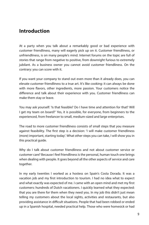### **Introduction**

At a party when you talk about a remarkably good or bad experience with customer friendliness, many will eagerly pick up on it. Customer friendliness, or unfriendliness, is on many people's mind. Internet forums on the topic are full of stories that range from negative to positive, from downright furious to extremely jubilant. As a business owner you cannot avoid customer friendliness. On the contrary: you can score with it.

If you want your company to stand out even more than it already does, you can elevate customer friendliness to a true art. It's like cooking: it can always be done with more flavors, other ingredients, more passion. Your customers notice the difference and talk about their experience with you. Customer friendliness can make them stay or leave.

You may ask yourself: 'Is that feasible? Do I have time and attention for that? Will I get my team on board?' Yes, it is possible, for everyone, from beginners to the experienced, from freelancer to small, medium-sized and large enterprises.

The road to more customer friendliness consists of small steps that you measure against feasibility. The first step is a decision: 'I will make customer friendliness (more) important, starting today'. What other steps you can take, I will show you in this practical guide.

Why do I talk about customer friendliness and not about customer service or customer care? Because I feel friendliness is the personal, human touch one brings when dealing with people. It goes beyond all the other aspects of service and care together.

In my early twenties I worked as a hostess on Spain's Costa Dorada. It was a vacation job and my first introduction to tourism. I had no idea what to expect and what exactly was expected of me. I came with an open mind and met my first customers: hundreds of Dutch vacationers. I quickly learned what they expected: that you are there for them when they need you. In my job this didn't just mean telling my customers about the local sights, activities and restaurants, but also providing assistance in difficult situations. People that had been robbed or ended up in a Spanish hospital, needed practical help. Those who were homesick or had